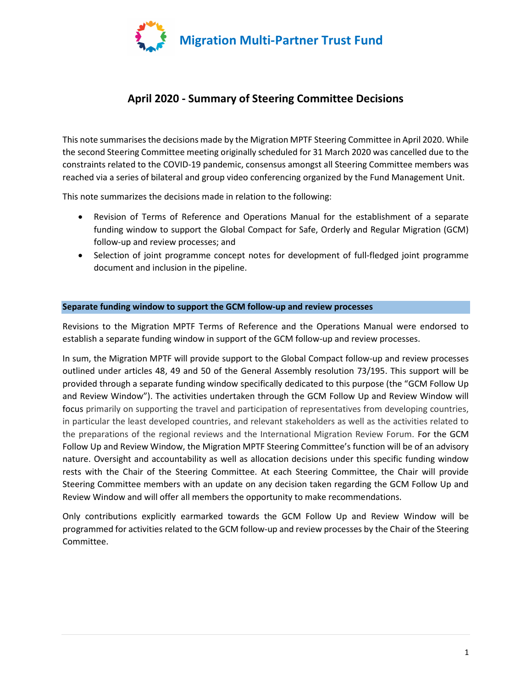

# April 2020 - Summary of Steering Committee Decisions

This note summarises the decisions made by the Migration MPTF Steering Committee in April 2020. While the second Steering Committee meeting originally scheduled for 31 March 2020 was cancelled due to the constraints related to the COVID-19 pandemic, consensus amongst all Steering Committee members was reached via a series of bilateral and group video conferencing organized by the Fund Management Unit.

This note summarizes the decisions made in relation to the following:

- Revision of Terms of Reference and Operations Manual for the establishment of a separate funding window to support the Global Compact for Safe, Orderly and Regular Migration (GCM) follow-up and review processes; and
- Selection of joint programme concept notes for development of full-fledged joint programme document and inclusion in the pipeline.

#### Separate funding window to support the GCM follow-up and review processes

Revisions to the Migration MPTF Terms of Reference and the Operations Manual were endorsed to establish a separate funding window in support of the GCM follow-up and review processes.

In sum, the Migration MPTF will provide support to the Global Compact follow-up and review processes outlined under articles 48, 49 and 50 of the General Assembly resolution 73/195. This support will be provided through a separate funding window specifically dedicated to this purpose (the "GCM Follow Up and Review Window"). The activities undertaken through the GCM Follow Up and Review Window will focus primarily on supporting the travel and participation of representatives from developing countries, in particular the least developed countries, and relevant stakeholders as well as the activities related to the preparations of the regional reviews and the International Migration Review Forum. For the GCM Follow Up and Review Window, the Migration MPTF Steering Committee's function will be of an advisory nature. Oversight and accountability as well as allocation decisions under this specific funding window rests with the Chair of the Steering Committee. At each Steering Committee, the Chair will provide Steering Committee members with an update on any decision taken regarding the GCM Follow Up and Review Window and will offer all members the opportunity to make recommendations.

Only contributions explicitly earmarked towards the GCM Follow Up and Review Window will be programmed for activities related to the GCM follow-up and review processes by the Chair of the Steering Committee.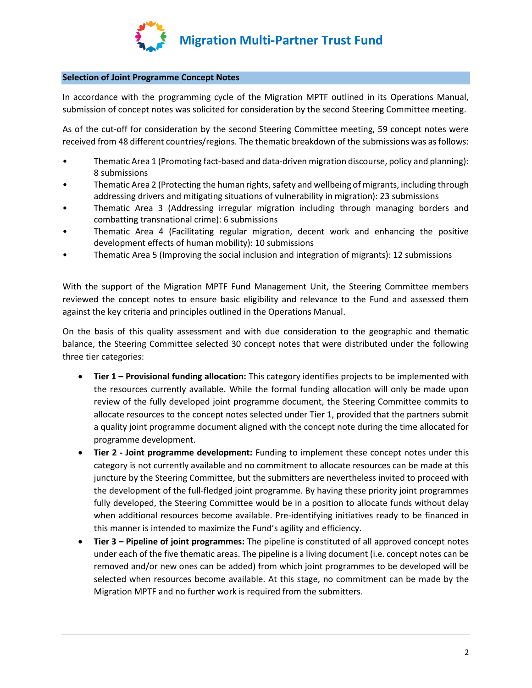

## Selection of Joint Programme Concept Notes

In accordance with the programming cycle of the Migration MPTF outlined in its Operations Manual, submission of concept notes was solicited for consideration by the second Steering Committee meeting.

As of the cut-off for consideration by the second Steering Committee meeting, 59 concept notes were received from 48 different countries/regions. The thematic breakdown of the submissions was as follows:

- Thematic Area 1 (Promoting fact-based and data-driven migration discourse, policy and planning): 8 submissions
- Thematic Area 2 (Protecting the human rights, safety and wellbeing of migrants, including through addressing drivers and mitigating situations of vulnerability in migration): 23 submissions
- Thematic Area 3 (Addressing irregular migration including through managing borders and combatting transnational crime): 6 submissions
- Thematic Area 4 (Facilitating regular migration, decent work and enhancing the positive development effects of human mobility): 10 submissions
- Thematic Area 5 (Improving the social inclusion and integration of migrants): 12 submissions

With the support of the Migration MPTF Fund Management Unit, the Steering Committee members reviewed the concept notes to ensure basic eligibility and relevance to the Fund and assessed them against the key criteria and principles outlined in the Operations Manual.

On the basis of this quality assessment and with due consideration to the geographic and thematic balance, the Steering Committee selected 30 concept notes that were distributed under the following three tier categories:

- Tier 1 Provisional funding allocation: This category identifies projects to be implemented with the resources currently available. While the formal funding allocation will only be made upon review of the fully developed joint programme document, the Steering Committee commits to allocate resources to the concept notes selected under Tier 1, provided that the partners submit a quality joint programme document aligned with the concept note during the time allocated for programme development.
- Tier 2 Joint programme development: Funding to implement these concept notes under this category is not currently available and no commitment to allocate resources can be made at this juncture by the Steering Committee, but the submitters are nevertheless invited to proceed with the development of the full-fledged joint programme. By having these priority joint programmes fully developed, the Steering Committee would be in a position to allocate funds without delay when additional resources become available. Pre-identifying initiatives ready to be financed in this manner is intended to maximize the Fund's agility and efficiency.
- Tier 3 Pipeline of joint programmes: The pipeline is constituted of all approved concept notes under each of the five thematic areas. The pipeline is a living document (i.e. concept notes can be removed and/or new ones can be added) from which joint programmes to be developed will be selected when resources become available. At this stage, no commitment can be made by the Migration MPTF and no further work is required from the submitters.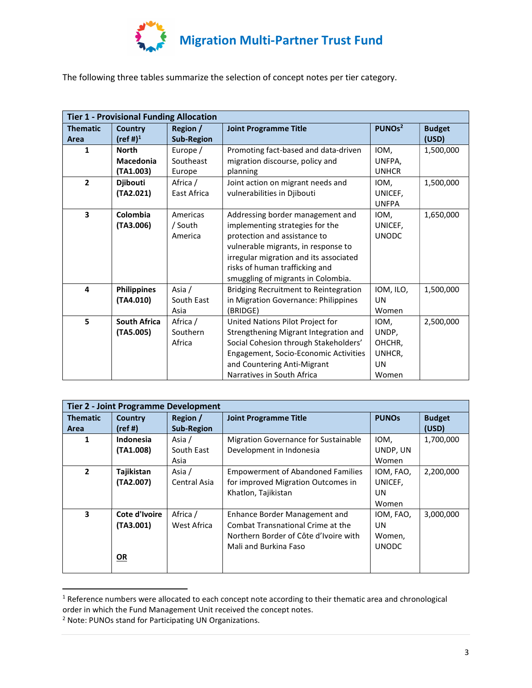

The following three tables summarize the selection of concept notes per tier category.

| <b>Tier 1 - Provisional Funding Allocation</b> |                      |                   |                                              |                    |               |  |
|------------------------------------------------|----------------------|-------------------|----------------------------------------------|--------------------|---------------|--|
| <b>Thematic</b>                                | <b>Country</b>       | Region /          | <b>Joint Programme Title</b>                 | PUNOs <sup>2</sup> | <b>Budget</b> |  |
| Area                                           | (ref #) <sup>1</sup> | <b>Sub-Region</b> |                                              |                    | (USD)         |  |
| 1                                              | <b>North</b>         | Europe /          | Promoting fact-based and data-driven         | IOM,               | 1,500,000     |  |
|                                                | <b>Macedonia</b>     | Southeast         | migration discourse, policy and              | UNFPA,             |               |  |
|                                                | (TA1.003)            | Europe            | planning                                     | <b>UNHCR</b>       |               |  |
| $\overline{2}$                                 | <b>Djibouti</b>      | Africa /          | Joint action on migrant needs and            | IOM,               | 1,500,000     |  |
|                                                | (TA2.021)            | East Africa       | vulnerabilities in Djibouti                  | UNICEF,            |               |  |
|                                                |                      |                   |                                              | <b>UNFPA</b>       |               |  |
| $\overline{\mathbf{3}}$                        | Colombia             | Americas          | Addressing border management and             | IOM.               | 1,650,000     |  |
|                                                | (TA3.006)            | / South           | implementing strategies for the              | UNICEF,            |               |  |
|                                                |                      | America           | protection and assistance to                 | <b>UNODC</b>       |               |  |
|                                                |                      |                   | vulnerable migrants, in response to          |                    |               |  |
|                                                |                      |                   | irregular migration and its associated       |                    |               |  |
|                                                |                      |                   | risks of human trafficking and               |                    |               |  |
|                                                |                      |                   | smuggling of migrants in Colombia.           |                    |               |  |
| 4                                              | <b>Philippines</b>   | Asia /            | <b>Bridging Recruitment to Reintegration</b> | IOM, ILO,          | 1,500,000     |  |
|                                                | (TA4.010)            | South East        | in Migration Governance: Philippines         | UN                 |               |  |
|                                                |                      | Asia              | (BRIDGE)                                     | Women              |               |  |
| 5                                              | <b>South Africa</b>  | Africa /          | United Nations Pilot Project for             | IOM,               | 2,500,000     |  |
|                                                | (TA5.005)            | Southern          | Strengthening Migrant Integration and        | UNDP,              |               |  |
|                                                |                      | Africa            | Social Cohesion through Stakeholders'        | OHCHR,             |               |  |
|                                                |                      |                   | Engagement, Socio-Economic Activities        | UNHCR,             |               |  |
|                                                |                      |                   | and Countering Anti-Migrant                  | UN                 |               |  |
|                                                |                      |                   | Narratives in South Africa                   | Women              |               |  |

| <b>Tier 2 - Joint Programme Development</b> |                                         |                               |                                                                                                                                      |                                                  |                        |  |
|---------------------------------------------|-----------------------------------------|-------------------------------|--------------------------------------------------------------------------------------------------------------------------------------|--------------------------------------------------|------------------------|--|
| <b>Thematic</b><br><b>Area</b>              | <b>Country</b><br>(ref#)                | Region /<br><b>Sub-Region</b> | <b>Joint Programme Title</b>                                                                                                         | <b>PUNOs</b>                                     | <b>Budget</b><br>(USD) |  |
| 1                                           | Indonesia<br>(TA1.008)                  | Asia /<br>South East<br>Asia  | <b>Migration Governance for Sustainable</b><br>Development in Indonesia                                                              | IOM,<br>UNDP, UN<br>Women                        | 1,700,000              |  |
| $\mathbf{2}$                                | Tajikistan<br>(TA2.007)                 | Asia /<br>Central Asia        | <b>Empowerment of Abandoned Families</b><br>for improved Migration Outcomes in<br>Khatlon, Tajikistan                                | IOM, FAO,<br>UNICEF,<br><b>UN</b><br>Women       | 2,200,000              |  |
| 3                                           | Cote d'Ivoire<br>(TA3.001)<br><b>OR</b> | Africa /<br>West Africa       | Enhance Border Management and<br>Combat Transnational Crime at the<br>Northern Border of Côte d'Ivoire with<br>Mali and Burkina Faso | IOM, FAO,<br><b>UN</b><br>Women,<br><b>UNODC</b> | 3,000,000              |  |

<sup>&</sup>lt;sup>1</sup> Reference numbers were allocated to each concept note according to their thematic area and chronological order in which the Fund Management Unit received the concept notes.

<sup>&</sup>lt;sup>2</sup> Note: PUNOs stand for Participating UN Organizations.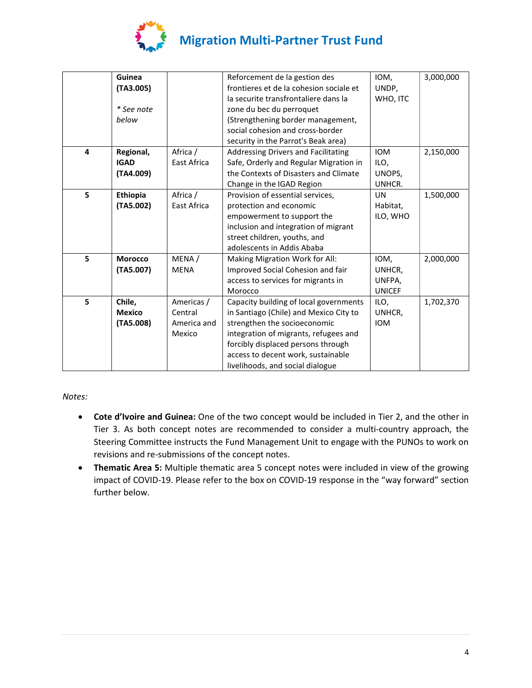

|   | Guinea         |             | Reforcement de la gestion des           | IOM,          | 3,000,000 |
|---|----------------|-------------|-----------------------------------------|---------------|-----------|
|   | (TA3.005)      |             | frontieres et de la cohesion sociale et | UNDP,         |           |
|   |                |             | la securite transfrontaliere dans la    | WHO, ITC      |           |
|   | * See note     |             | zone du bec du perroquet                |               |           |
|   | below          |             | (Strengthening border management,       |               |           |
|   |                |             | social cohesion and cross-border        |               |           |
|   |                |             | security in the Parrot's Beak area)     |               |           |
| 4 | Regional,      | Africa /    | Addressing Drivers and Facilitating     | <b>IOM</b>    | 2,150,000 |
|   | <b>IGAD</b>    | East Africa | Safe, Orderly and Regular Migration in  | ILO,          |           |
|   | (TA4.009)      |             | the Contexts of Disasters and Climate   | UNOPS,        |           |
|   |                |             | Change in the IGAD Region               | UNHCR.        |           |
| 5 | Ethiopia       | Africa /    | Provision of essential services,        | <b>UN</b>     | 1,500,000 |
|   | (TA5.002)      | East Africa | protection and economic                 | Habitat,      |           |
|   |                |             | empowerment to support the              | ILO, WHO      |           |
|   |                |             | inclusion and integration of migrant    |               |           |
|   |                |             | street children, youths, and            |               |           |
|   |                |             | adolescents in Addis Ababa              |               |           |
| 5 | <b>Morocco</b> | MENA/       | Making Migration Work for All:          | IOM,          | 2,000,000 |
|   | (TA5.007)      | <b>MENA</b> | Improved Social Cohesion and fair       | UNHCR,        |           |
|   |                |             | access to services for migrants in      | UNFPA,        |           |
|   |                |             | Morocco                                 | <b>UNICEF</b> |           |
| 5 | Chile,         | Americas /  | Capacity building of local governments  | ILO,          | 1,702,370 |
|   | <b>Mexico</b>  | Central     | in Santiago (Chile) and Mexico City to  | UNHCR,        |           |
|   | (TA5.008)      | America and | strengthen the socioeconomic            | <b>IOM</b>    |           |
|   |                | Mexico      | integration of migrants, refugees and   |               |           |
|   |                |             | forcibly displaced persons through      |               |           |
|   |                |             | access to decent work, sustainable      |               |           |
|   |                |             | livelihoods, and social dialogue        |               |           |

Notes:

- Cote d'Ivoire and Guinea: One of the two concept would be included in Tier 2, and the other in Tier 3. As both concept notes are recommended to consider a multi-country approach, the Steering Committee instructs the Fund Management Unit to engage with the PUNOs to work on revisions and re-submissions of the concept notes.
- Thematic Area 5: Multiple thematic area 5 concept notes were included in view of the growing impact of COVID-19. Please refer to the box on COVID-19 response in the "way forward" section further below.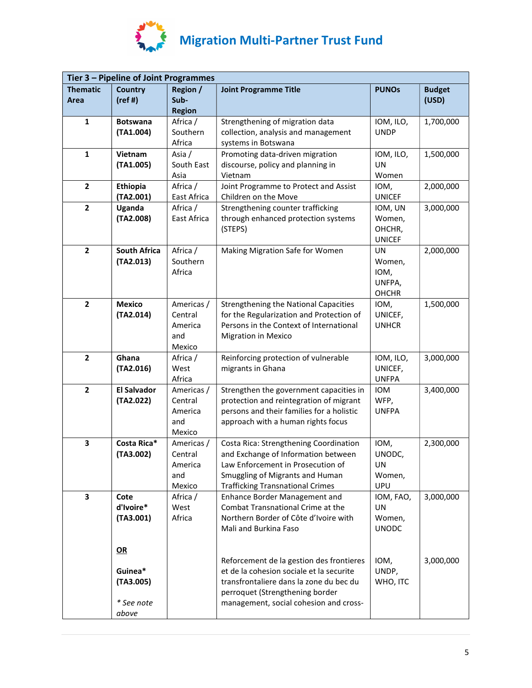

| Tier 3 - Pipeline of Joint Programmes |                                                   |                                                   |                                                                                                                                                                                                              |                                                  |                        |  |  |
|---------------------------------------|---------------------------------------------------|---------------------------------------------------|--------------------------------------------------------------------------------------------------------------------------------------------------------------------------------------------------------------|--------------------------------------------------|------------------------|--|--|
| <b>Thematic</b><br>Area               | <b>Country</b><br>(ref#)                          | Region /<br>Sub-<br><b>Region</b>                 | <b>Joint Programme Title</b>                                                                                                                                                                                 | <b>PUNOs</b>                                     | <b>Budget</b><br>(USD) |  |  |
| $\mathbf{1}$                          | <b>Botswana</b><br>(TA1.004)                      | Africa /<br>Southern<br>Africa                    | Strengthening of migration data<br>collection, analysis and management<br>systems in Botswana                                                                                                                | IOM, ILO,<br><b>UNDP</b>                         | 1,700,000              |  |  |
| 1                                     | Vietnam<br>(TA1.005)                              | Asia /<br>South East<br>Asia                      | Promoting data-driven migration<br>discourse, policy and planning in<br>Vietnam                                                                                                                              | IOM, ILO,<br>UN<br>Women                         | 1,500,000              |  |  |
| $\overline{2}$                        | Ethiopia<br>(TA2.001)                             | Africa /<br>East Africa                           | Joint Programme to Protect and Assist<br>Children on the Move                                                                                                                                                | IOM,<br><b>UNICEF</b>                            | 2,000,000              |  |  |
| $\mathbf{2}$                          | Uganda<br>(TA2.008)                               | Africa /<br>East Africa                           | Strengthening counter trafficking<br>through enhanced protection systems<br>(STEPS)                                                                                                                          | IOM, UN<br>Women,<br>OHCHR,<br><b>UNICEF</b>     | 3,000,000              |  |  |
| $\overline{2}$                        | <b>South Africa</b><br>(TA2.013)                  | Africa /<br>Southern<br>Africa                    | Making Migration Safe for Women                                                                                                                                                                              | UN<br>Women,<br>IOM,<br>UNFPA,<br><b>OHCHR</b>   | 2,000,000              |  |  |
| $\overline{2}$                        | <b>Mexico</b><br>(TA2.014)                        | Americas /<br>Central<br>America<br>and<br>Mexico | <b>Strengthening the National Capacities</b><br>for the Regularization and Protection of<br>Persons in the Context of International<br><b>Migration in Mexico</b>                                            | IOM,<br>UNICEF,<br><b>UNHCR</b>                  | 1,500,000              |  |  |
| $\overline{2}$                        | Ghana<br>(TA2.016)                                | Africa /<br>West<br>Africa                        | Reinforcing protection of vulnerable<br>migrants in Ghana                                                                                                                                                    | IOM, ILO,<br>UNICEF,<br><b>UNFPA</b>             | 3,000,000              |  |  |
| $\overline{2}$                        | <b>El Salvador</b><br>(TA2.022)                   | Americas /<br>Central<br>America<br>and<br>Mexico | Strengthen the government capacities in<br>protection and reintegration of migrant<br>persons and their families for a holistic<br>approach with a human rights focus                                        | IOM<br>WFP,<br><b>UNFPA</b>                      | 3,400,000              |  |  |
| 3                                     | Costa Rica*<br>(TA3.002)                          | Americas /<br>Central<br>America<br>and<br>Mexico | Costa Rica: Strengthening Coordination<br>and Exchange of Information between<br>Law Enforcement in Prosecution of<br>Smuggling of Migrants and Human<br><b>Trafficking Transnational Crimes</b>             | IOM,<br>UNODC,<br>UN<br>Women,<br>UPU            | 2,300,000              |  |  |
| 3                                     | Cote<br>d'Ivoire*<br>(TA3.001)                    | Africa /<br>West<br>Africa                        | Enhance Border Management and<br>Combat Transnational Crime at the<br>Northern Border of Côte d'Ivoire with<br>Mali and Burkina Faso                                                                         | IOM, FAO,<br><b>UN</b><br>Women,<br><b>UNODC</b> | 3,000,000              |  |  |
|                                       | QR<br>Guinea*<br>(TA3.005)<br>* See note<br>above |                                                   | Reforcement de la gestion des frontieres<br>et de la cohesion sociale et la securite<br>transfrontaliere dans la zone du bec du<br>perroquet (Strengthening border<br>management, social cohesion and cross- | IOM,<br>UNDP,<br>WHO, ITC                        | 3,000,000              |  |  |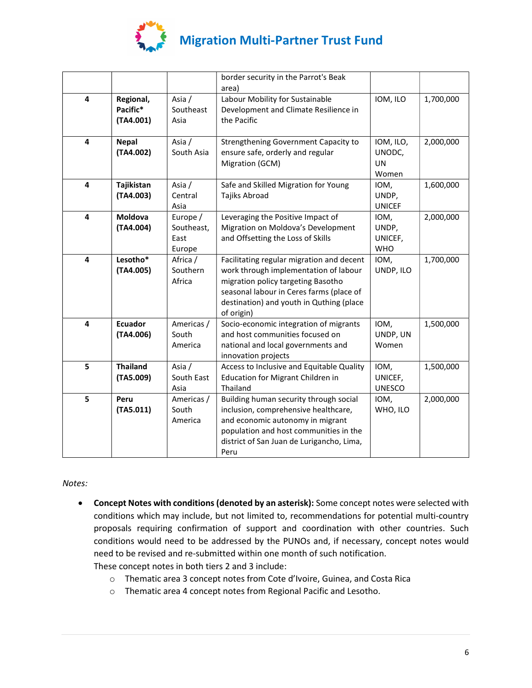

|   |                                    |                                          | border security in the Parrot's Beak<br>area)                                                                                                                                                                                  |                                        |           |
|---|------------------------------------|------------------------------------------|--------------------------------------------------------------------------------------------------------------------------------------------------------------------------------------------------------------------------------|----------------------------------------|-----------|
| 4 | Regional,<br>Pacific*<br>(TA4.001) | Asia /<br>Southeast<br>Asia              | Labour Mobility for Sustainable<br>Development and Climate Resilience in<br>the Pacific                                                                                                                                        | IOM, ILO                               | 1,700,000 |
| 4 | <b>Nepal</b><br>(TA4.002)          | Asia /<br>South Asia                     | Strengthening Government Capacity to<br>ensure safe, orderly and regular<br>Migration (GCM)                                                                                                                                    | IOM, ILO,<br>UNODC,<br>UN<br>Women     | 2,000,000 |
| 4 | Tajikistan<br>(TA4.003)            | Asia /<br>Central<br>Asia                | Safe and Skilled Migration for Young<br>Tajiks Abroad                                                                                                                                                                          | IOM,<br>UNDP,<br><b>UNICEF</b>         | 1,600,000 |
| 4 | <b>Moldova</b><br>(TA4.004)        | Europe /<br>Southeast,<br>East<br>Europe | Leveraging the Positive Impact of<br>Migration on Moldova's Development<br>and Offsetting the Loss of Skills                                                                                                                   | IOM,<br>UNDP,<br>UNICEF,<br><b>WHO</b> | 2,000,000 |
| 4 | Lesotho*<br>(TA4.005)              | Africa /<br>Southern<br>Africa           | Facilitating regular migration and decent<br>work through implementation of labour<br>migration policy targeting Basotho<br>seasonal labour in Ceres farms (place of<br>destination) and youth in Quthing (place<br>of origin) | IOM,<br>UNDP, ILO                      | 1,700,000 |
| 4 | <b>Ecuador</b><br>(TA4.006)        | Americas /<br>South<br>America           | Socio-economic integration of migrants<br>and host communities focused on<br>national and local governments and<br>innovation projects                                                                                         | IOM,<br>UNDP, UN<br>Women              | 1,500,000 |
| 5 | <b>Thailand</b><br>(TA5.009)       | Asia /<br>South East<br>Asia             | Access to Inclusive and Equitable Quality<br><b>Education for Migrant Children in</b><br>Thailand                                                                                                                              | IOM,<br>UNICEF,<br><b>UNESCO</b>       | 1,500,000 |
| 5 | Peru<br>(TA5.011)                  | Americas /<br>South<br>America           | Building human security through social<br>inclusion, comprehensive healthcare,<br>and economic autonomy in migrant<br>population and host communities in the<br>district of San Juan de Lurigancho, Lima,<br>Peru              | IOM,<br>WHO, ILO                       | 2,000,000 |

Notes:

 Concept Notes with conditions (denoted by an asterisk): Some concept notes were selected with conditions which may include, but not limited to, recommendations for potential multi-country proposals requiring confirmation of support and coordination with other countries. Such conditions would need to be addressed by the PUNOs and, if necessary, concept notes would need to be revised and re-submitted within one month of such notification.

These concept notes in both tiers 2 and 3 include:

- o Thematic area 3 concept notes from Cote d'Ivoire, Guinea, and Costa Rica
- o Thematic area 4 concept notes from Regional Pacific and Lesotho.